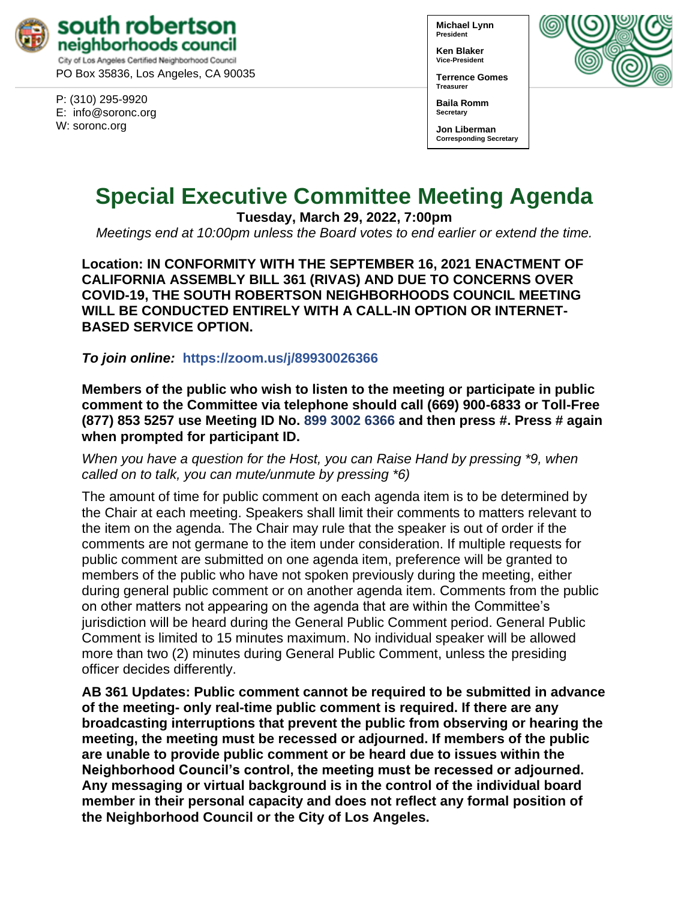

PO Box 35836, Los Angeles, CA 90035

P: (310) 295-9920 E: [info@soronc.org](mailto:info@soronc.org) W: soronc.org

**Michael Lynn President**

**Ken Blaker Vice-President**

**Secretary**

**Terrence Gomes Treasurer**

**Baila Romm**

**Jon Liberman Corresponding Secretary**



# **Special Executive Committee Meeting Agenda**

**Tuesday, March 29, 2022, 7:00pm**

*Meetings end at 10:00pm unless the Board votes to end earlier or extend the time.*

**Location: IN CONFORMITY WITH THE SEPTEMBER 16, 2021 ENACTMENT OF CALIFORNIA ASSEMBLY BILL 361 (RIVAS) AND DUE TO CONCERNS OVER COVID-19, THE SOUTH ROBERTSON NEIGHBORHOODS COUNCIL MEETING WILL BE CONDUCTED ENTIRELY WITH A CALL-IN OPTION OR INTERNET-BASED SERVICE OPTION.**

*To join online:* **[https://zoom.us/j/](https://zoom.us/j/89930026366)89930026366**

**Members of the public who wish to listen to the meeting or participate in public comment to the Committee via telephone should call (669) 900-6833 or Toll-Free (877) 853 5257 use Meeting ID No. 899 3002 6366 and then press #. Press # again when prompted for participant ID.** 

*When you have a question for the Host, you can Raise Hand by pressing \*9, when called on to talk, you can mute/unmute by pressing \*6)* 

The amount of time for public comment on each agenda item is to be determined by the Chair at each meeting. Speakers shall limit their comments to matters relevant to the item on the agenda. The Chair may rule that the speaker is out of order if the comments are not germane to the item under consideration. If multiple requests for public comment are submitted on one agenda item, preference will be granted to members of the public who have not spoken previously during the meeting, either during general public comment or on another agenda item. Comments from the public on other matters not appearing on the agenda that are within the Committee's jurisdiction will be heard during the General Public Comment period. General Public Comment is limited to 15 minutes maximum. No individual speaker will be allowed more than two (2) minutes during General Public Comment, unless the presiding officer decides differently.

**AB 361 Updates: Public comment cannot be required to be submitted in advance of the meeting- only real-time public comment is required. If there are any broadcasting interruptions that prevent the public from observing or hearing the meeting, the meeting must be recessed or adjourned. If members of the public are unable to provide public comment or be heard due to issues within the Neighborhood Council's control, the meeting must be recessed or adjourned. Any messaging or virtual background is in the control of the individual board member in their personal capacity and does not reflect any formal position of the Neighborhood Council or the City of Los Angeles.**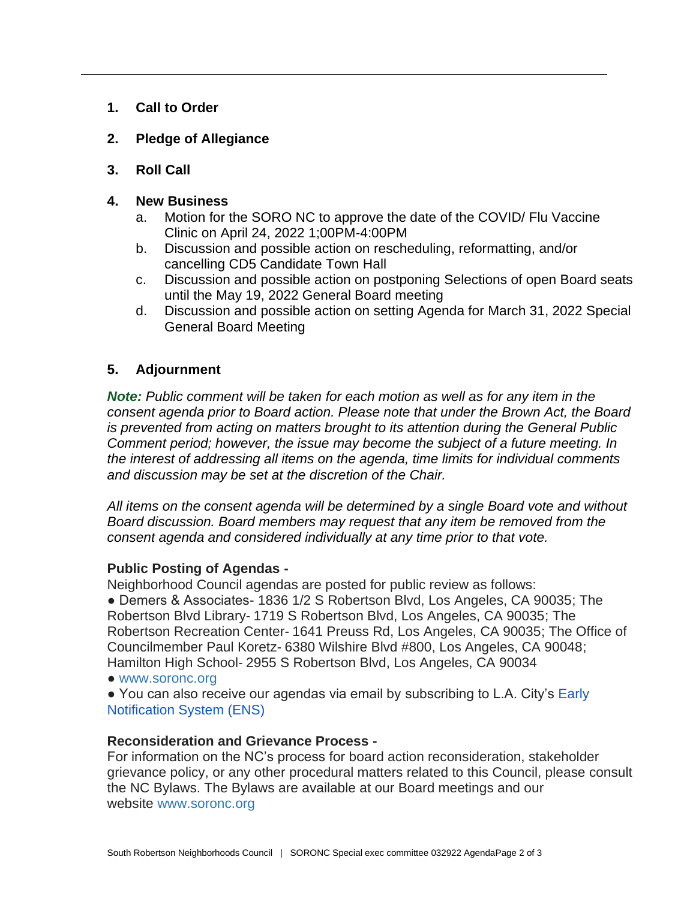- **1. Call to Order**
- **2. Pledge of Allegiance**
- **3. Roll Call**
- **4. New Business**
	- a. Motion for the SORO NC to approve the date of the COVID/ Flu Vaccine Clinic on April 24, 2022 1;00PM-4:00PM
	- b. Discussion and possible action on rescheduling, reformatting, and/or cancelling CD5 Candidate Town Hall
	- c. Discussion and possible action on postponing Selections of open Board seats until the May 19, 2022 General Board meeting
	- d. Discussion and possible action on setting Agenda for March 31, 2022 Special General Board Meeting

## **5. Adjournment**

*Note: Public comment will be taken for each motion as well as for any item in the consent agenda prior to Board action. Please note that under the Brown Act, the Board is prevented from acting on matters brought to its attention during the General Public Comment period; however, the issue may become the subject of a future meeting. In the interest of addressing all items on the agenda, time limits for individual comments and discussion may be set at the discretion of the Chair.*

*All items on the consent agenda will be determined by a single Board vote and without Board discussion. Board members may request that any item be removed from the consent agenda and considered individually at any time prior to that vote.*

## **Public Posting of Agendas -**

Neighborhood Council agendas are posted for public review as follows: ● Demers & Associates- 1836 1/2 S Robertson Blvd, Los Angeles, CA 90035; The Robertson Blvd Library- 1719 S Robertson Blvd, Los Angeles, CA 90035; The Robertson Recreation Center- 1641 Preuss Rd, Los Angeles, CA 90035; The Office of Councilmember Paul Koretz- 6380 Wilshire Blvd #800, Los Angeles, CA 90048; Hamilton High School- 2955 S Robertson Blvd, Los Angeles, CA 90034

● [www.soronc.org](http://www.soronc.org/)

• You can also receive our agendas via email by subscribing to L.A. City's Early [Notification System \(ENS\)](https://www.lacity.org/government/subscribe-agendasnotifications/neighborhood-councils)

### **Reconsideration and Grievance Process -**

For information on the NC's process for board action reconsideration, stakeholder grievance policy, or any other procedural matters related to this Council, please consult the NC Bylaws. The Bylaws are available at our Board meetings and our website [www.soronc.org](http://www.soronc.org/)